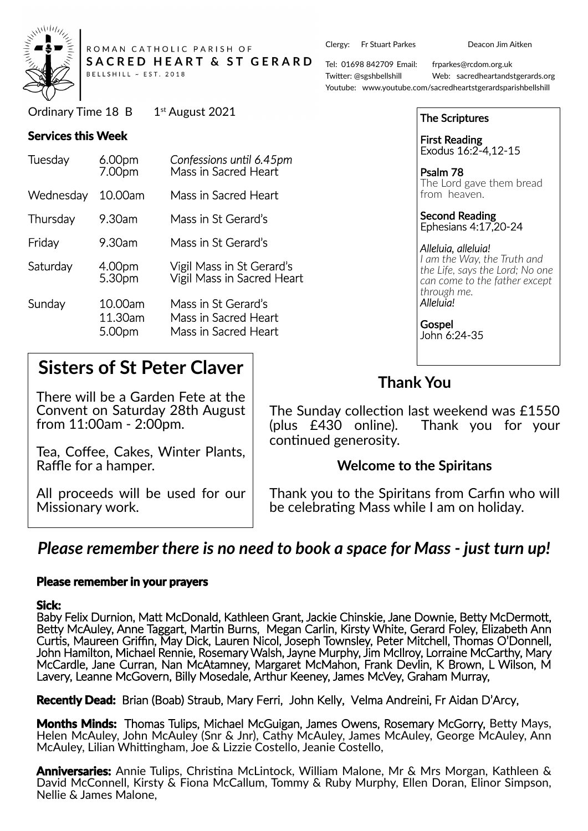

ROMAN CATHOLIC PARISH OF SACRED HEART & ST GERARD BELLSHILL ~ EST. 2018

Ordinary Time  $18$  B  $1<sup>st</sup>$  August 2021

#### **Services this Week**

| Tuesday   | 6.00pm<br>7.00pm             | Confessions until 6.45pm<br>Mass in Sacred Heart                    |
|-----------|------------------------------|---------------------------------------------------------------------|
| Wednesday | 10.00am                      | Mass in Sacred Heart                                                |
| Thursday  | 9.30am                       | Mass in St Gerard's                                                 |
| Friday    | 9.30am                       | Mass in St Gerard's                                                 |
| Saturday  | 4.00pm<br>5.30pm             | Vigil Mass in St Gerard's<br>Vigil Mass in Sacred Heart             |
| Sunday    | 10.00am<br>11.30am<br>5.00pm | Mass in St Gerard's<br>Mass in Sacred Heart<br>Mass in Sacred Heart |

# **Sisters of St Peter Claver**

There will be a Garden Fete at the Convent on Saturday 28th August from 11:00am - 2:00pm.

Tea, Coffee, Cakes, Winter Plants, Raffle for a hamper.

All proceeds will be used for our Missionary work.

Clergy: Fr Stuart Parkes Deacon Jim Aitken

Tel: 01698 842709 Email: frparkes@rcdom.org.uk Twi�er: @sgshbellshill Web: sacredheartandstgerards.org Youtube: www.youtube.com/sacredheartstgerardsparishbellshill

| <b>The Scriptures</b>                        |
|----------------------------------------------|
| <b>First Reading<br/>Exodus 16:2-4,12-15</b> |
| Psalm 78                                     |

The Lord gave them bread from heaven.

Second Reading Ephesians 4:17,20-24

*Alleluia, alleluia! I am the Way, the Truth and the Life, says the Lord; No one can come to the father except through me. Alleluia!*

**Gospel** John 6:24-35

## **Thank You**

The Sunday collection last weekend was £1550 (plus £430 online). Thank you for your continued generosity.

### **Welcome to the Spiritans**

Thank you to the Spiritans from Carfin who will be celebrating Mass while I am on holiday.

## *Please remember there is no need to book a space for Mass - just turn up!*

#### **Please remember in your prayers**

#### **Sick:**

Baby Felix Durnion, Matt McDonald, Kathleen Grant, Jackie Chinskie, Jane Downie, Betty McDermott, Betty McAuley, Anne Taggart, Martin Burns, Megan Carlin, Kirsty White, Gerard Foley, Elizabeth Ann Cur�s, Maureen Griffin, May Dick, Lauren Nicol, Joseph Townsley, Peter Mitchell, Thomas O'Donnell, John Hamilton, Michael Rennie, Rosemary Walsh, Jayne Murphy, Jim McIlroy, Lorraine McCarthy, Mary McCardle, Jane Curran, Nan McAtamney, Margaret McMahon, Frank Devlin, K Brown, L Wilson, M Lavery, Leanne McGovern, Billy Mosedale, Arthur Keeney, James McVey, Graham Murray,

**Recently Dead:** Brian (Boab) Straub, Mary Ferri, John Kelly, Velma Andreini, Fr Aidan D'Arcy,

Months Minds: Thomas Tulips, Michael McGuigan, James Owens, Rosemary McGorry, Betty Mays, Helen McAuley, John McAuley (Snr & Jnr), Cathy McAuley, James McAuley, George McAuley, Ann McAuley, Lilian Whittingham, Joe & Lizzie Costello, Jeanie Costello,

Anniversaries: Annie Tulips, Christina McLintock, William Malone, Mr & Mrs Morgan, Kathleen & David McConnell, Kirsty & Fiona McCallum, Tommy & Ruby Murphy, Ellen Doran, Elinor Simpson, Nellie & James Malone,